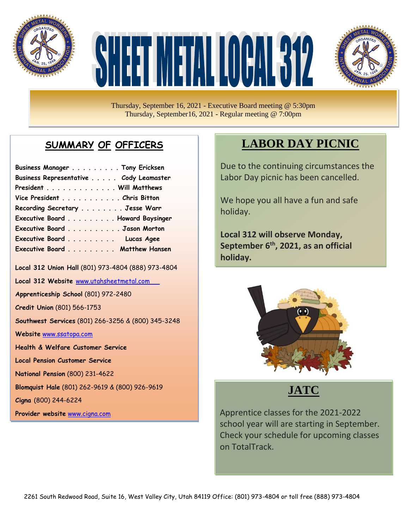

# HEETIMETAL LOCAL 312



Thursday, September 16, 2021 - Executive Board meeting @ 5:30pm Thursday, September16, 2021 - Regular meeting @ 7:00pm

## **SUMMARY OF OFFICERS**

| Business Manager Tony Ericksen         |  |
|----------------------------------------|--|
| Business Representative Cody Leamaster |  |
| President Will Matthews                |  |
| Vice President Chris Bitton            |  |
| Recording Secretary Jesse Warr         |  |
| Executive Board Howard Baysinger       |  |
| Executive Board Jason Morton           |  |
| Executive Board Lucas Agee             |  |
| Executive Board Matthew Hansen         |  |

**Local 312 Union Hall** (801) 973-4804 (888) 973-4804

**Local 312 Website** [www.utahsheetmetal.com](http://www.utahsheetmetal.com/)

**Apprenticeship School** (801) 972-2480

**Credit Union** (801) 566-1753

**Southwest Services** (801) 266-3256 & (800) 345-3248

**Website** [www.ssatopa.com](http://www.ssatopa.com/)

**Health & Welfare Customer Service**

**Local Pension Customer Service**

**National Pension** (800) 231-4622

**Blomquist Hale** (801) 262-9619 & (800) 926-9619

**Cigna** (800) 244-6224

**Provider website** [www.cigna.com](http://www.cigna.com/)

# **LABOR DAY PICNIC**

Due to the continuing circumstances the Labor Day picnic has been cancelled.

We hope you all have a fun and safe holiday.

**Local 312 will observe Monday, September 6th , 2021, as an official holiday.**



**JATC**

Apprentice classes for the 2021-2022 school year will are starting in September. Check your schedule for upcoming classes on TotalTrack.